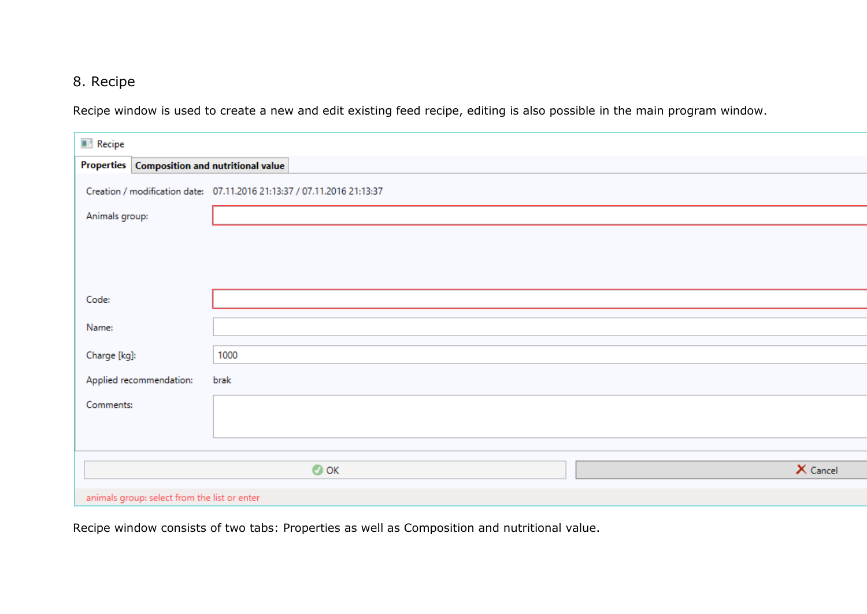## 8. Recipe

Recipe window is used to create a new and edit existing feed recipe, editing is also possible in the main program window.

| Recipe                                       |                                                                         |          |  |  |  |
|----------------------------------------------|-------------------------------------------------------------------------|----------|--|--|--|
| Properties Composition and nutritional value |                                                                         |          |  |  |  |
|                                              | Creation / modification date: 07.11.2016 21:13:37 / 07.11.2016 21:13:37 |          |  |  |  |
| Animals group:                               |                                                                         |          |  |  |  |
|                                              |                                                                         |          |  |  |  |
|                                              |                                                                         |          |  |  |  |
|                                              |                                                                         |          |  |  |  |
| Code:                                        |                                                                         |          |  |  |  |
| Name:                                        |                                                                         |          |  |  |  |
| Charge [kg]:                                 | 1000                                                                    |          |  |  |  |
| Applied recommendation:                      | brak                                                                    |          |  |  |  |
| Comments:                                    |                                                                         |          |  |  |  |
|                                              |                                                                         |          |  |  |  |
|                                              |                                                                         |          |  |  |  |
|                                              | $\bullet$ ok                                                            | X Cancel |  |  |  |
|                                              |                                                                         |          |  |  |  |
| animals group: select from the list or enter |                                                                         |          |  |  |  |

Recipe window consists of two tabs: Properties as well as Composition and nutritional value.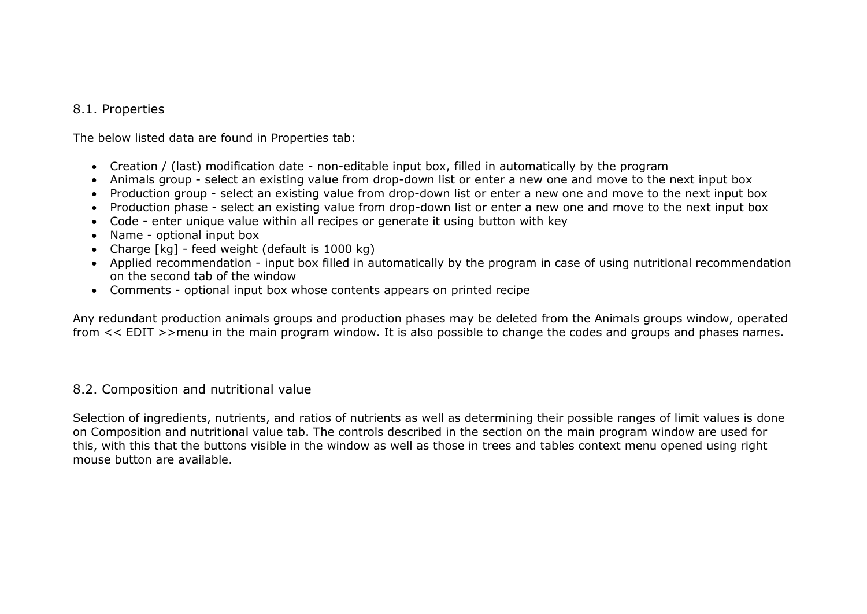## 8.1. Properties

The below listed data are found in Properties tab:

- Creation / (last) modification date non-editable input box, filled in automatically by the program
- Animals group select an existing value from drop-down list or enter a new one and move to the next input box
- Production group select an existing value from drop-down list or enter a new one and move to the next input box
- Production phase select an existing value from drop-down list or enter a new one and move to the next input box
- Code enter unique value within all recipes or generate it using button with key
- Name optional input box
- Charge [kg] feed weight (default is 1000 kg)
- Applied recommendation input box filled in automatically by the program in case of using nutritional recommendation on the second tab of the window
- Comments optional input box whose contents appears on printed recipe

Any redundant production animals groups and production phases may be deleted from the Animals groups window, operated from << EDIT >>menu in the main program window. It is also possible to change the codes and groups and phases names.

## 8.2. Composition and nutritional value

Selection of ingredients, nutrients, and ratios of nutrients as well as determining their possible ranges of limit values is done on Composition and nutritional value tab. The controls described in the section on the main program window are used for this, with this that the buttons visible in the window as well as those in trees and tables context menu opened using right mouse button are available.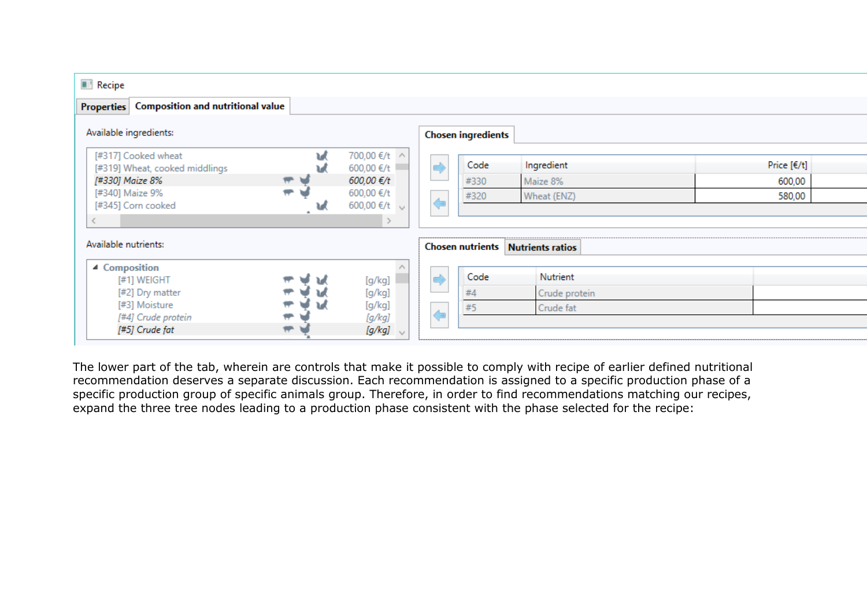| <b>Recipe</b>                                |   |                   |                   |                           |                                          |               |  |
|----------------------------------------------|---|-------------------|-------------------|---------------------------|------------------------------------------|---------------|--|
| Properties Composition and nutritional value |   |                   |                   |                           |                                          |               |  |
| Available ingredients:                       |   |                   |                   | <b>Chosen ingredients</b> |                                          |               |  |
| [#317] Cooked wheat                          | W | 700,00 €/t ∧      |                   |                           |                                          |               |  |
| [#319] Wheat, cooked middlings               |   | 600,00 €/t        | $\Rightarrow$     | Code                      | Ingredient                               | Price $[€/t]$ |  |
| [#330] Maize 8%                              |   | 600,00 €/t        |                   | #330                      | Maize 8%                                 | 600,00        |  |
| [#340] Maize 9%                              |   | 600,00 €/t        |                   | #320                      | Wheat (ENZ)                              | 580,00        |  |
| [#345] Corn cooked                           |   | 600,00 €/t $\vee$ | $\leftarrow$      |                           |                                          |               |  |
|                                              |   |                   |                   |                           |                                          |               |  |
|                                              |   |                   |                   |                           |                                          |               |  |
| Available nutrients:                         |   |                   |                   |                           | <b>Chosen nutrients Nutrients ratios</b> |               |  |
| ▲ Composition                                |   |                   |                   |                           |                                          |               |  |
| [#1] WEIGHT                                  |   | [g/kg]            |                   | Code                      | Nutrient                                 |               |  |
| [#2] Dry matter                              |   | [g/kg]            |                   | #4                        | Crude protein                            |               |  |
| [#3] Moisture                                |   | [g/kg]            |                   | #5                        | Crude fat                                |               |  |
| [#4] Crude protein                           |   | [g/kg]            | $\Leftrightarrow$ |                           |                                          |               |  |
| [#5] Crude fat                               |   | [g/kg]            |                   |                           |                                          |               |  |
|                                              |   |                   |                   |                           |                                          |               |  |

The lower part of the tab, wherein are controls that make it possible to comply with recipe of earlier defined nutritional recommendation deserves a separate discussion. Each recommendation is assigned to a specific production phase of a specific production group of specific animals group. Therefore, in order to find recommendations matching our recipes, expand the three tree nodes leading to a production phase consistent with the phase selected for the recipe: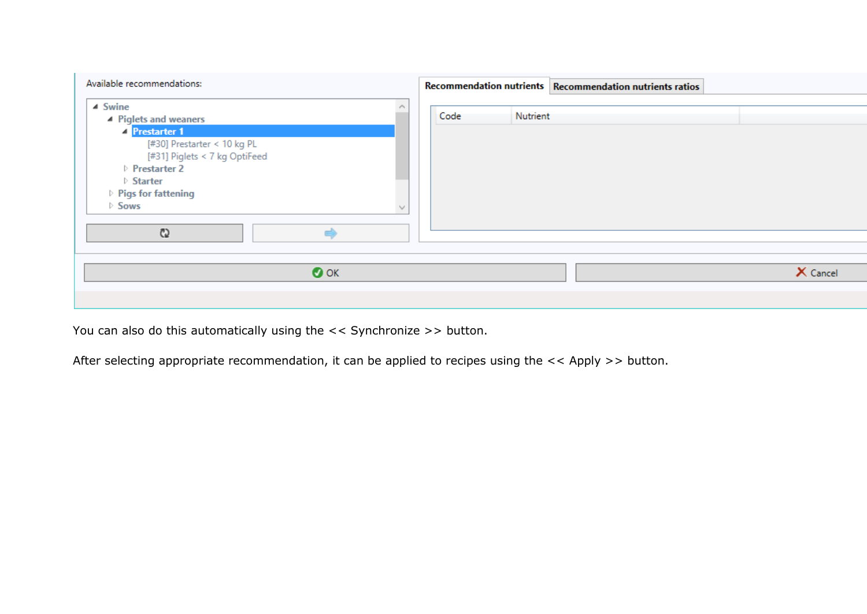| Available recommendations:                                                                                                                                                                                                           | Recommendation nutrients Recommendation nutrients ratios |
|--------------------------------------------------------------------------------------------------------------------------------------------------------------------------------------------------------------------------------------|----------------------------------------------------------|
| $\triangle$ Swine<br>▲ Piglets and weaners<br><sup>2</sup> Prestarter 1<br>[#30] Prestarter < 10 kg PL<br>[#31] Piglets < 7 kg OptiFeed<br>Prestarter 2<br>$\triangleright$ Starter<br>▷ Pigs for fattening<br>$\triangleright$ Sows | Code<br>Nutrient                                         |
| C)<br>$\bullet$ ok                                                                                                                                                                                                                   | X Cancel                                                 |
|                                                                                                                                                                                                                                      |                                                          |

You can also do this automatically using the << Synchronize >> button.

After selecting appropriate recommendation, it can be applied to recipes using the << Apply >> button.